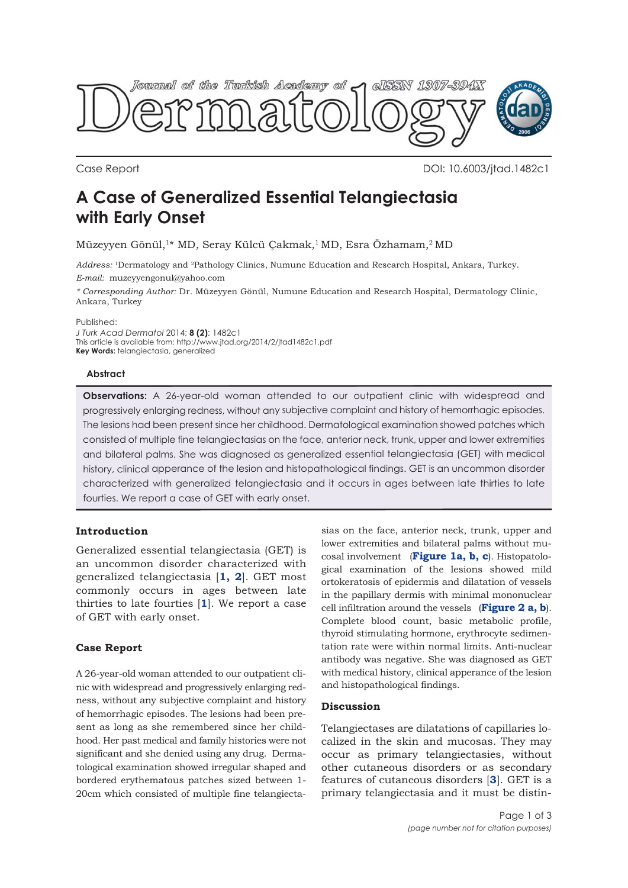

Case Report DOI: 10.6003/jtad.1482c1

# **A Case of Generalized Essential Telangiectasia with Early Onset**

Müzeyyen Gönül,1\* MD, Seray Külcü Çakmak,1 MD, Esra Özhamam,2 MD

*Address:* 1Dermatology and 2Pathology Clinics, Numune Education and Research Hospital, Ankara, Turkey. *E-mail:* muzeyyengonul@yahoo.com

*\* Corresponding Author:* Dr. Müzeyyen Gönül, Numune Education and Research Hospital, Dermatology Clinic, Ankara, Turkey

Published:

*J Turk Acad Dermatol* 2014; **8 (2)**: 1482c1 This article is available from: http://www.jtad.org/2014/2/jtad1482c1.pdf **Key Words:** telangiectasia, generalized

### **Abstract**

**Observations:** A 26-year-old woman attended to our outpatient clinic with widespread and progressively enlarging redness, without any subjective complaint and history of hemorrhagic episodes. The lesions had been present since her childhood. Dermatological examination showed patches which consisted of multiple fine telangiectasias on the face, anterior neck, trunk, upper and lower extremities and bilateral palms. She was diagnosed as generalized essential telangiectasia (GET) with medical history, clinical apperance of the lesion and histopathological findings. GET is an uncommon disorder characterized with generalized telangiectasia and it occurs in ages between late thirties to late fourties. We report a case of GET with early onset.

# **Introduction**

Generalized essential telangiectasia (GET) is an uncommon disorder characterized with generalized telangiectasia [**1, 2**]. GET most commonly occurs in ages between late thirties to late fourties [**1**]. We report a case of GET with early onset.

# **Case Report**

A 26-year-old woman attended to our outpatient clinic with widespread and progressively enlarging redness, without any subjective complaint and history of hemorrhagic episodes. The lesions had been present as long as she remembered since her childhood. Her past medical and family histories were not significant and she denied using any drug. Dermatological examination showed irregular shaped and bordered erythematous patches sized between 1- 20cm which consisted of multiple fine telangiecta-

sias on the face, anterior neck, trunk, upper and lower extremities and bilateral palms without mucosal involvement (**Figure 1a, b, c**). Histopatological examination of the lesions showed mild ortokeratosis of epidermis and dilatation of vessels in the papillary dermis with minimal mononuclear cell infiltration around the vessels (**Figure 2 a, b**). Complete blood count, basic metabolic profile, thyroid stimulating hormone, erythrocyte sedimentation rate were within normal limits. Anti-nuclear antibody was negative. She was diagnosed as GET with medical history, clinical apperance of the lesion and histopathological findings.

### **Discussion**

Telangiectases are dilatations of capillaries localized in the skin and mucosas. They may occur as primary telangiectasies, without other cutaneous disorders or as secondary features of cutaneous disorders [**3**]. GET is a primary telangiectasia and it must be distin-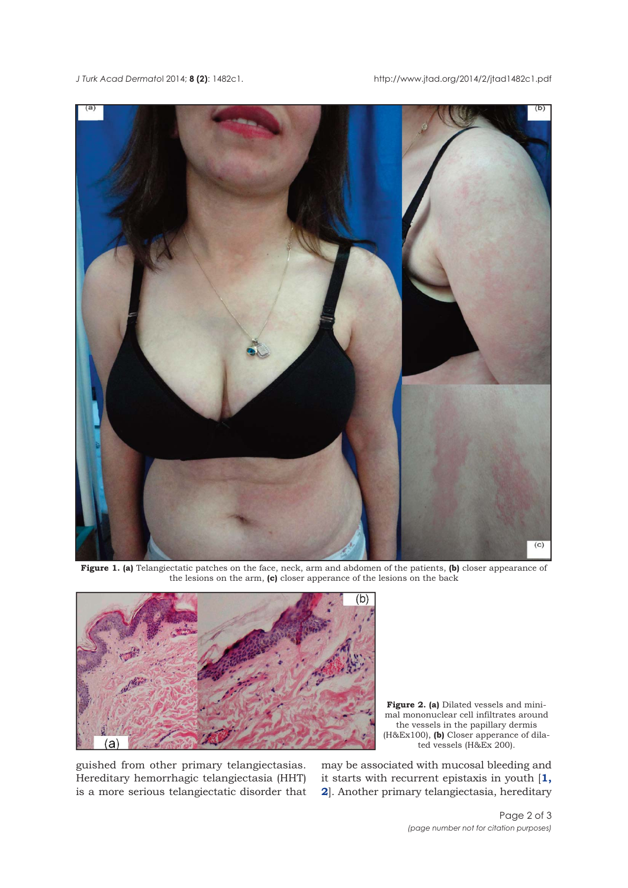*J Turk Acad Dermato*l 2014; **8 (2)**: 1482c1. http://www.jtad.org/2014/2/jtad1482c1.pdf



**Figure 1. (a)** Telangiectatic patches on the face, neck, arm and abdomen of the patients, **(b)** closer appearance of the lesions on the arm, **(c)** closer apperance of the lesions on the back



Figure 2. (a) Dilated vessels and minimal mononuclear cell infiltrates around the vessels in the papillary dermis (H&Ex100), **(b)** Closer apperance of dilated vessels (H&Ex 200).

guished from other primary telangiectasias. Hereditary hemorrhagic telangiectasia (HHT) is a more serious telangiectatic disorder that may be associated with mucosal bleeding and it starts with recurrent epistaxis in youth [**1, 2**]. Another primary telangiectasia, hereditary